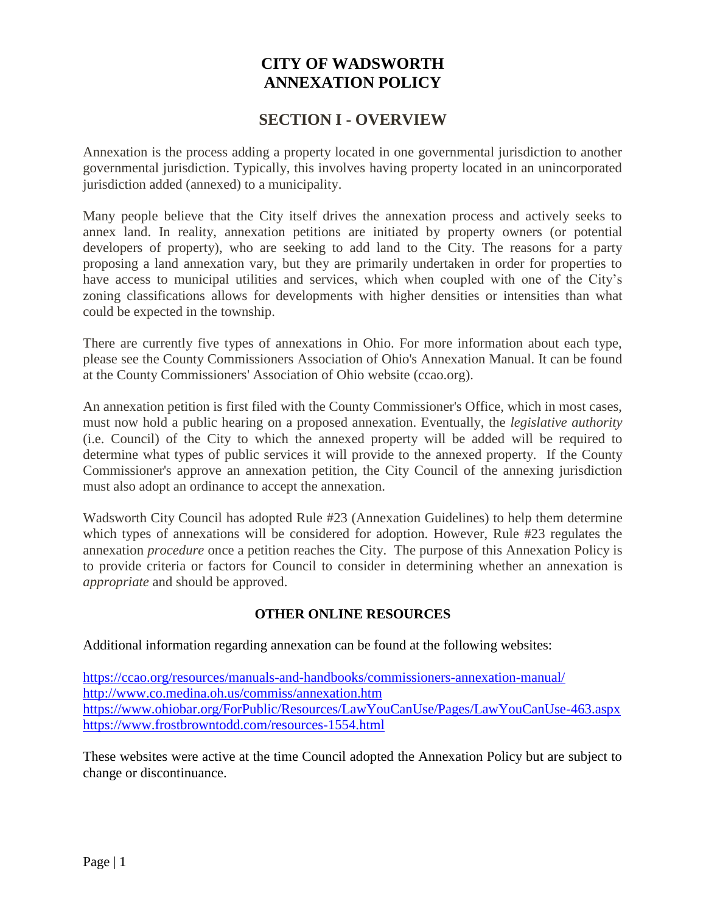# **CITY OF WADSWORTH ANNEXATION POLICY**

# **SECTION I - OVERVIEW**

Annexation is the process adding a property located in one governmental jurisdiction to another governmental jurisdiction. Typically, this involves having property located in an unincorporated jurisdiction added (annexed) to a municipality.

Many people believe that the City itself drives the annexation process and actively seeks to annex land. In reality, annexation petitions are initiated by property owners (or potential developers of property), who are seeking to add land to the City. The reasons for a party proposing a land annexation vary, but they are primarily undertaken in order for properties to have access to municipal utilities and services, which when coupled with one of the City's zoning classifications allows for developments with higher densities or intensities than what could be expected in the township.

There are currently five types of annexations in Ohio. For more information about each type, please see the County Commissioners Association of Ohio's Annexation Manual. It can be found at the County Commissioners' Association of Ohio website (ccao.org).

An annexation petition is first filed with the County Commissioner's Office, which in most cases, must now hold a public hearing on a proposed annexation. Eventually, the *legislative authority* (i.e. Council) of the City to which the annexed property will be added will be required to determine what types of public services it will provide to the annexed property. If the County Commissioner's approve an annexation petition, the City Council of the annexing jurisdiction must also adopt an ordinance to accept the annexation.

Wadsworth City Council has adopted Rule #23 (Annexation Guidelines) to help them determine which types of annexations will be considered for adoption. However, Rule #23 regulates the annexation *procedure* once a petition reaches the City. The purpose of this Annexation Policy is to provide criteria or factors for Council to consider in determining whether an annexation is *appropriate* and should be approved.

# **OTHER ONLINE RESOURCES**

Additional information regarding annexation can be found at the following websites:

<https://ccao.org/resources/manuals-and-handbooks/commissioners-annexation-manual/> <http://www.co.medina.oh.us/commiss/annexation.htm> <https://www.ohiobar.org/ForPublic/Resources/LawYouCanUse/Pages/LawYouCanUse-463.aspx> <https://www.frostbrowntodd.com/resources-1554.html>

These websites were active at the time Council adopted the Annexation Policy but are subject to change or discontinuance.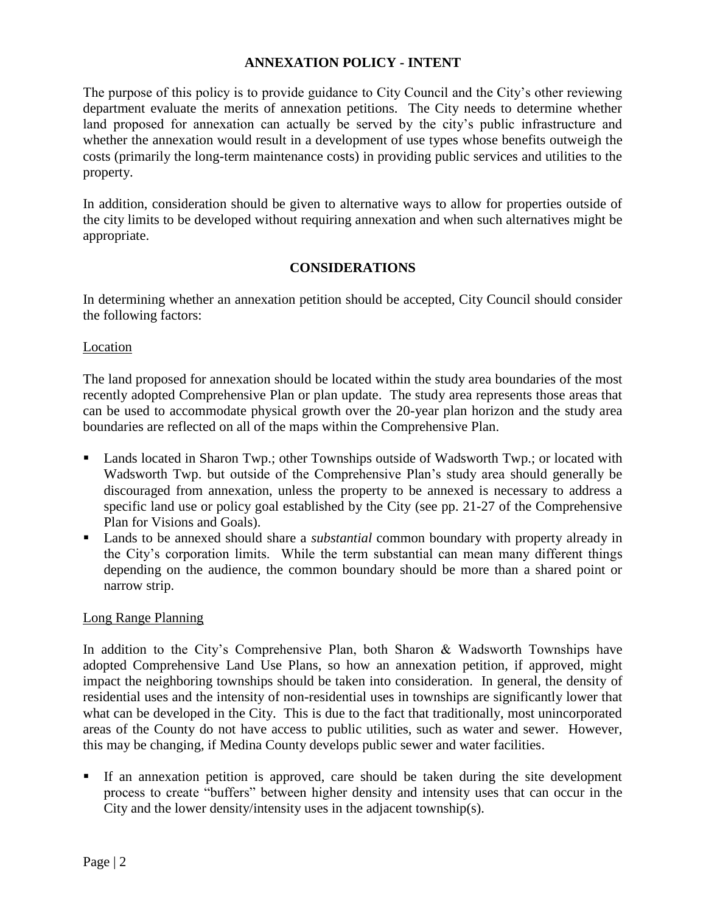### **ANNEXATION POLICY - INTENT**

The purpose of this policy is to provide guidance to City Council and the City's other reviewing department evaluate the merits of annexation petitions. The City needs to determine whether land proposed for annexation can actually be served by the city's public infrastructure and whether the annexation would result in a development of use types whose benefits outweigh the costs (primarily the long-term maintenance costs) in providing public services and utilities to the property.

In addition, consideration should be given to alternative ways to allow for properties outside of the city limits to be developed without requiring annexation and when such alternatives might be appropriate.

#### **CONSIDERATIONS**

In determining whether an annexation petition should be accepted, City Council should consider the following factors:

#### Location

The land proposed for annexation should be located within the study area boundaries of the most recently adopted Comprehensive Plan or plan update. The study area represents those areas that can be used to accommodate physical growth over the 20-year plan horizon and the study area boundaries are reflected on all of the maps within the Comprehensive Plan.

- Lands located in Sharon Twp.; other Townships outside of Wadsworth Twp.; or located with Wadsworth Twp. but outside of the Comprehensive Plan's study area should generally be discouraged from annexation, unless the property to be annexed is necessary to address a specific land use or policy goal established by the City (see pp. 21-27 of the Comprehensive Plan for Visions and Goals).
- Lands to be annexed should share a *substantial* common boundary with property already in the City's corporation limits. While the term substantial can mean many different things depending on the audience, the common boundary should be more than a shared point or narrow strip.

#### Long Range Planning

In addition to the City's Comprehensive Plan, both Sharon & Wadsworth Townships have adopted Comprehensive Land Use Plans, so how an annexation petition, if approved, might impact the neighboring townships should be taken into consideration. In general, the density of residential uses and the intensity of non-residential uses in townships are significantly lower that what can be developed in the City. This is due to the fact that traditionally, most unincorporated areas of the County do not have access to public utilities, such as water and sewer. However, this may be changing, if Medina County develops public sewer and water facilities.

 If an annexation petition is approved, care should be taken during the site development process to create "buffers" between higher density and intensity uses that can occur in the City and the lower density/intensity uses in the adjacent township(s).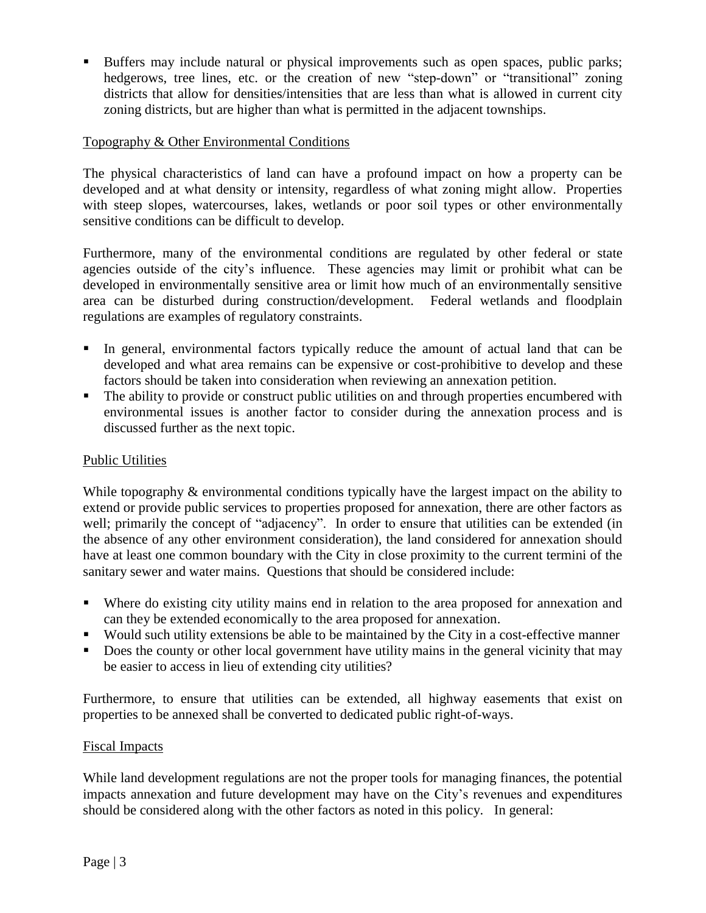Buffers may include natural or physical improvements such as open spaces, public parks; hedgerows, tree lines, etc. or the creation of new "step-down" or "transitional" zoning districts that allow for densities/intensities that are less than what is allowed in current city zoning districts, but are higher than what is permitted in the adjacent townships.

# Topography & Other Environmental Conditions

The physical characteristics of land can have a profound impact on how a property can be developed and at what density or intensity, regardless of what zoning might allow. Properties with steep slopes, watercourses, lakes, wetlands or poor soil types or other environmentally sensitive conditions can be difficult to develop.

Furthermore, many of the environmental conditions are regulated by other federal or state agencies outside of the city's influence. These agencies may limit or prohibit what can be developed in environmentally sensitive area or limit how much of an environmentally sensitive area can be disturbed during construction/development. Federal wetlands and floodplain regulations are examples of regulatory constraints.

- In general, environmental factors typically reduce the amount of actual land that can be developed and what area remains can be expensive or cost-prohibitive to develop and these factors should be taken into consideration when reviewing an annexation petition.
- The ability to provide or construct public utilities on and through properties encumbered with environmental issues is another factor to consider during the annexation process and is discussed further as the next topic.

### Public Utilities

While topography & environmental conditions typically have the largest impact on the ability to extend or provide public services to properties proposed for annexation, there are other factors as well; primarily the concept of "adjacency". In order to ensure that utilities can be extended (in the absence of any other environment consideration), the land considered for annexation should have at least one common boundary with the City in close proximity to the current termini of the sanitary sewer and water mains. Questions that should be considered include:

- Where do existing city utility mains end in relation to the area proposed for annexation and can they be extended economically to the area proposed for annexation.
- Would such utility extensions be able to be maintained by the City in a cost-effective manner
- Does the county or other local government have utility mains in the general vicinity that may be easier to access in lieu of extending city utilities?

Furthermore, to ensure that utilities can be extended, all highway easements that exist on properties to be annexed shall be converted to dedicated public right-of-ways.

#### Fiscal Impacts

While land development regulations are not the proper tools for managing finances, the potential impacts annexation and future development may have on the City's revenues and expenditures should be considered along with the other factors as noted in this policy. In general: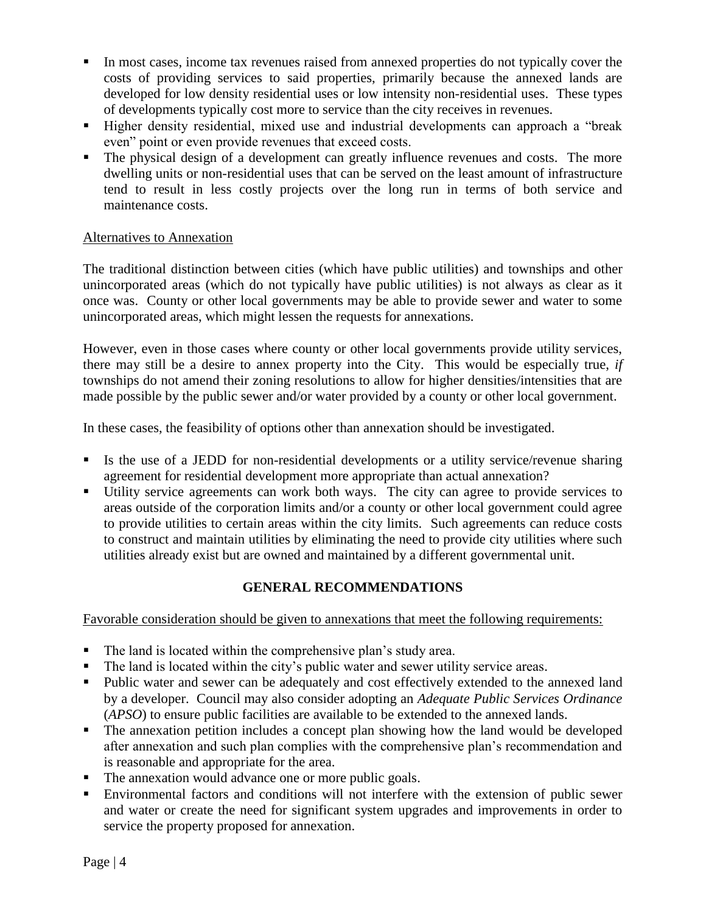- In most cases, income tax revenues raised from annexed properties do not typically cover the costs of providing services to said properties, primarily because the annexed lands are developed for low density residential uses or low intensity non-residential uses. These types of developments typically cost more to service than the city receives in revenues.
- Higher density residential, mixed use and industrial developments can approach a "break even" point or even provide revenues that exceed costs.
- The physical design of a development can greatly influence revenues and costs. The more dwelling units or non-residential uses that can be served on the least amount of infrastructure tend to result in less costly projects over the long run in terms of both service and maintenance costs.

### Alternatives to Annexation

The traditional distinction between cities (which have public utilities) and townships and other unincorporated areas (which do not typically have public utilities) is not always as clear as it once was. County or other local governments may be able to provide sewer and water to some unincorporated areas, which might lessen the requests for annexations.

However, even in those cases where county or other local governments provide utility services, there may still be a desire to annex property into the City. This would be especially true, *if* townships do not amend their zoning resolutions to allow for higher densities/intensities that are made possible by the public sewer and/or water provided by a county or other local government.

In these cases, the feasibility of options other than annexation should be investigated.

- Is the use of a JEDD for non-residential developments or a utility service/revenue sharing agreement for residential development more appropriate than actual annexation?
- Utility service agreements can work both ways. The city can agree to provide services to areas outside of the corporation limits and/or a county or other local government could agree to provide utilities to certain areas within the city limits. Such agreements can reduce costs to construct and maintain utilities by eliminating the need to provide city utilities where such utilities already exist but are owned and maintained by a different governmental unit.

# **GENERAL RECOMMENDATIONS**

Favorable consideration should be given to annexations that meet the following requirements:

- The land is located within the comprehensive plan's study area.
- The land is located within the city's public water and sewer utility service areas.
- Public water and sewer can be adequately and cost effectively extended to the annexed land by a developer. Council may also consider adopting an *Adequate Public Services Ordinance* (*APSO*) to ensure public facilities are available to be extended to the annexed lands.
- The annexation petition includes a concept plan showing how the land would be developed after annexation and such plan complies with the comprehensive plan's recommendation and is reasonable and appropriate for the area.
- The annexation would advance one or more public goals.
- Environmental factors and conditions will not interfere with the extension of public sewer and water or create the need for significant system upgrades and improvements in order to service the property proposed for annexation.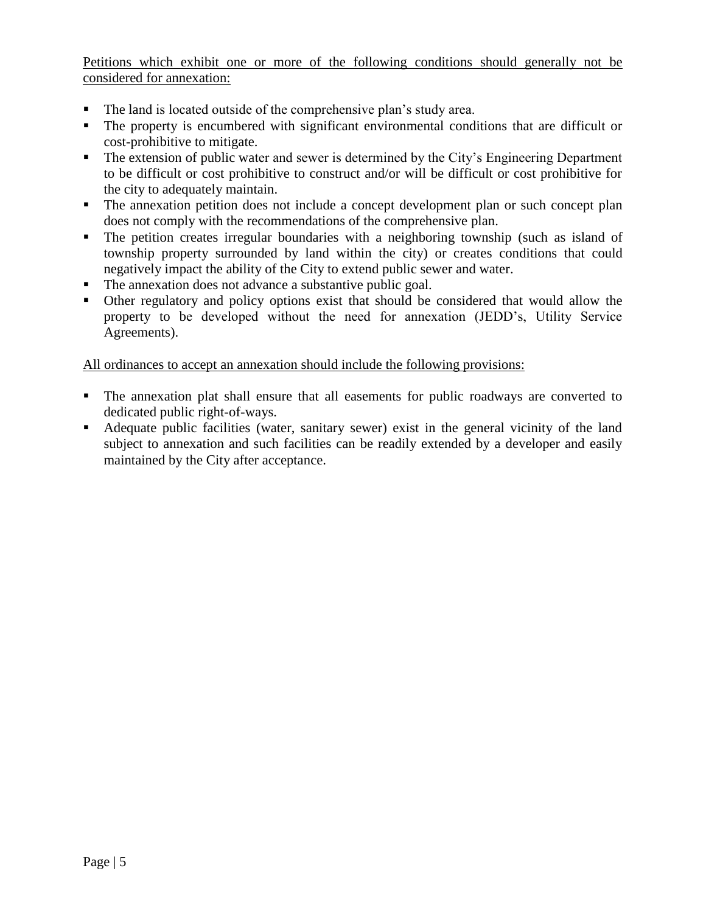Petitions which exhibit one or more of the following conditions should generally not be considered for annexation:

- The land is located outside of the comprehensive plan's study area.
- The property is encumbered with significant environmental conditions that are difficult or cost-prohibitive to mitigate.
- The extension of public water and sewer is determined by the City's Engineering Department to be difficult or cost prohibitive to construct and/or will be difficult or cost prohibitive for the city to adequately maintain.
- The annexation petition does not include a concept development plan or such concept plan does not comply with the recommendations of the comprehensive plan.
- The petition creates irregular boundaries with a neighboring township (such as island of township property surrounded by land within the city) or creates conditions that could negatively impact the ability of the City to extend public sewer and water.
- The annexation does not advance a substantive public goal.
- Other regulatory and policy options exist that should be considered that would allow the property to be developed without the need for annexation (JEDD's, Utility Service Agreements).

All ordinances to accept an annexation should include the following provisions:

- The annexation plat shall ensure that all easements for public roadways are converted to dedicated public right-of-ways.
- Adequate public facilities (water, sanitary sewer) exist in the general vicinity of the land subject to annexation and such facilities can be readily extended by a developer and easily maintained by the City after acceptance.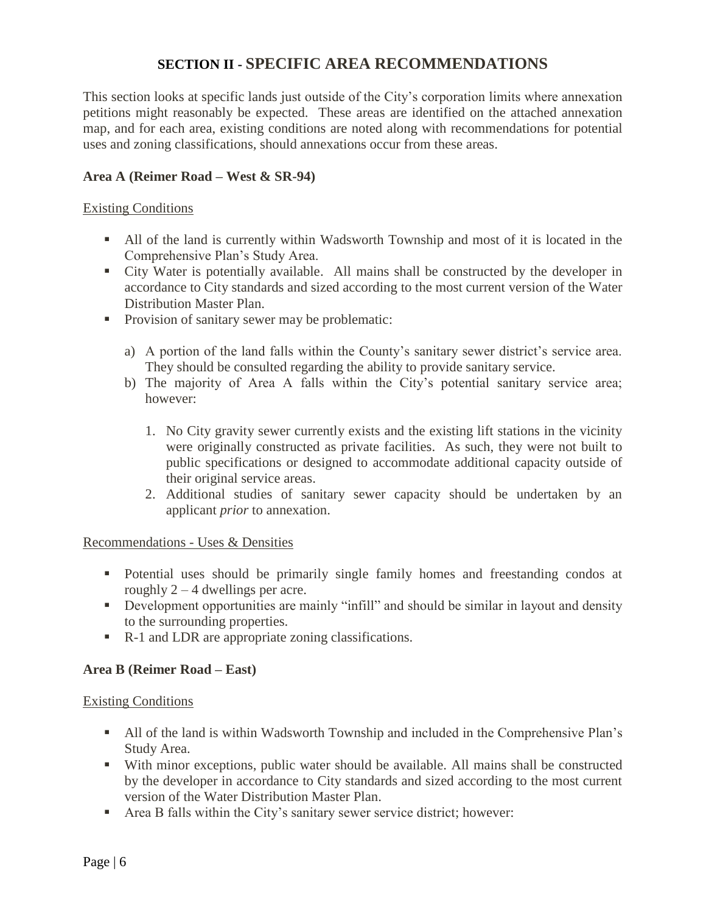# **SECTION II - SPECIFIC AREA RECOMMENDATIONS**

This section looks at specific lands just outside of the City's corporation limits where annexation petitions might reasonably be expected. These areas are identified on the attached annexation map, and for each area, existing conditions are noted along with recommendations for potential uses and zoning classifications, should annexations occur from these areas.

#### **Area A (Reimer Road – West & SR-94)**

#### Existing Conditions

- All of the land is currently within Wadsworth Township and most of it is located in the Comprehensive Plan's Study Area.
- City Water is potentially available. All mains shall be constructed by the developer in accordance to City standards and sized according to the most current version of the Water Distribution Master Plan.
- **Provision of sanitary sewer may be problematic:** 
	- a) A portion of the land falls within the County's sanitary sewer district's service area. They should be consulted regarding the ability to provide sanitary service.
	- b) The majority of Area A falls within the City's potential sanitary service area; however:
		- 1. No City gravity sewer currently exists and the existing lift stations in the vicinity were originally constructed as private facilities. As such, they were not built to public specifications or designed to accommodate additional capacity outside of their original service areas.
		- 2. Additional studies of sanitary sewer capacity should be undertaken by an applicant *prior* to annexation.

#### Recommendations - Uses & Densities

- Potential uses should be primarily single family homes and freestanding condos at roughly  $2 - 4$  dwellings per acre.
- Development opportunities are mainly "infill" and should be similar in layout and density to the surrounding properties.
- R-1 and LDR are appropriate zoning classifications.

# **Area B (Reimer Road – East)**

#### Existing Conditions

- All of the land is within Wadsworth Township and included in the Comprehensive Plan's Study Area.
- With minor exceptions, public water should be available. All mains shall be constructed by the developer in accordance to City standards and sized according to the most current version of the Water Distribution Master Plan.
- Area B falls within the City's sanitary sewer service district; however: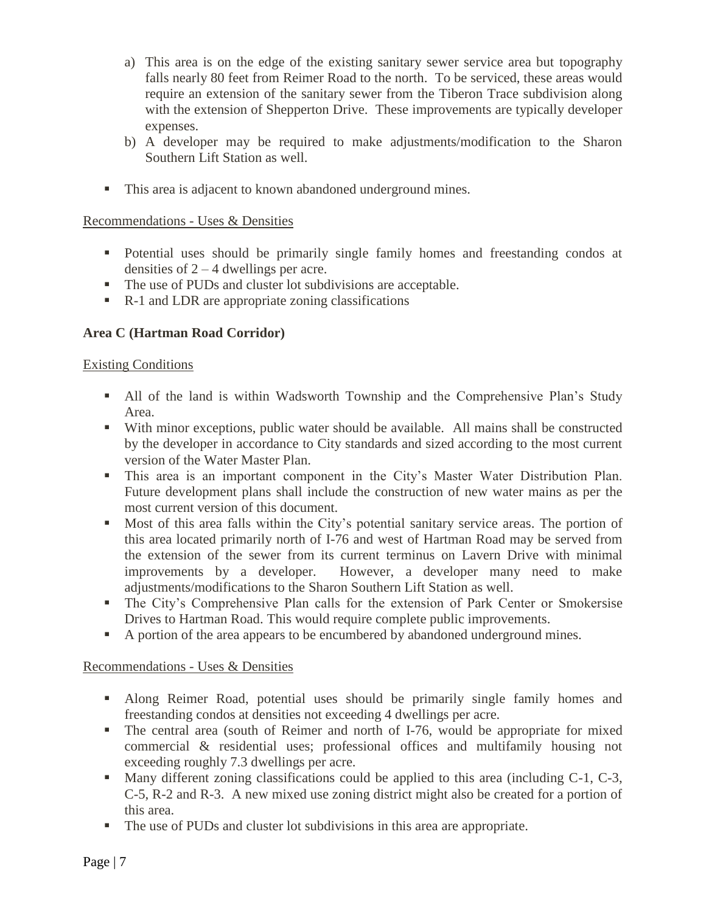- a) This area is on the edge of the existing sanitary sewer service area but topography falls nearly 80 feet from Reimer Road to the north. To be serviced, these areas would require an extension of the sanitary sewer from the Tiberon Trace subdivision along with the extension of Shepperton Drive. These improvements are typically developer expenses.
- b) A developer may be required to make adjustments/modification to the Sharon Southern Lift Station as well.
- This area is adjacent to known abandoned underground mines.

- Potential uses should be primarily single family homes and freestanding condos at densities of 2 – 4 dwellings per acre.
- The use of PUDs and cluster lot subdivisions are acceptable.
- R-1 and LDR are appropriate zoning classifications

# **Area C (Hartman Road Corridor)**

### Existing Conditions

- All of the land is within Wadsworth Township and the Comprehensive Plan's Study Area.
- With minor exceptions, public water should be available. All mains shall be constructed by the developer in accordance to City standards and sized according to the most current version of the Water Master Plan.
- This area is an important component in the City's Master Water Distribution Plan. Future development plans shall include the construction of new water mains as per the most current version of this document.
- Most of this area falls within the City's potential sanitary service areas. The portion of this area located primarily north of I-76 and west of Hartman Road may be served from the extension of the sewer from its current terminus on Lavern Drive with minimal improvements by a developer. However, a developer many need to make adjustments/modifications to the Sharon Southern Lift Station as well.
- The City's Comprehensive Plan calls for the extension of Park Center or Smokersise Drives to Hartman Road. This would require complete public improvements.
- A portion of the area appears to be encumbered by abandoned underground mines.

# Recommendations - Uses & Densities

- Along Reimer Road, potential uses should be primarily single family homes and freestanding condos at densities not exceeding 4 dwellings per acre.
- The central area (south of Reimer and north of I-76, would be appropriate for mixed commercial & residential uses; professional offices and multifamily housing not exceeding roughly 7.3 dwellings per acre.
- Many different zoning classifications could be applied to this area (including C-1, C-3, C-5, R-2 and R-3. A new mixed use zoning district might also be created for a portion of this area.
- The use of PUDs and cluster lot subdivisions in this area are appropriate.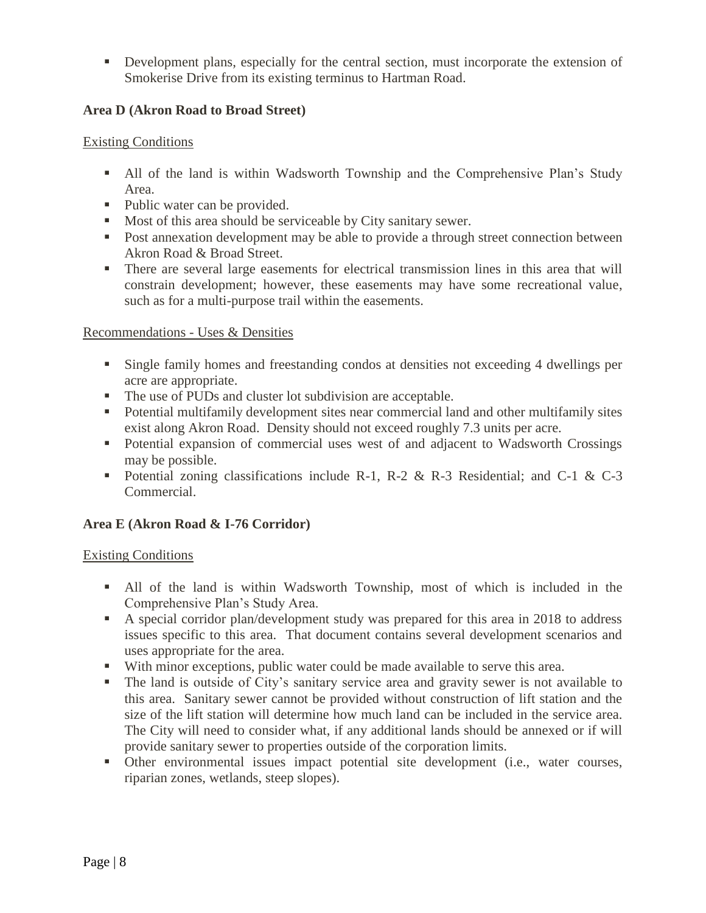Development plans, especially for the central section, must incorporate the extension of Smokerise Drive from its existing terminus to Hartman Road.

# **Area D (Akron Road to Broad Street)**

### Existing Conditions

- All of the land is within Wadsworth Township and the Comprehensive Plan's Study Area.
- Public water can be provided.
- Most of this area should be serviceable by City sanitary sewer.
- Post annexation development may be able to provide a through street connection between Akron Road & Broad Street.
- There are several large easements for electrical transmission lines in this area that will constrain development; however, these easements may have some recreational value, such as for a multi-purpose trail within the easements.

# Recommendations - Uses & Densities

- Single family homes and freestanding condos at densities not exceeding 4 dwellings per acre are appropriate.
- The use of PUDs and cluster lot subdivision are acceptable.
- Potential multifamily development sites near commercial land and other multifamily sites exist along Akron Road. Density should not exceed roughly 7.3 units per acre.
- Potential expansion of commercial uses west of and adjacent to Wadsworth Crossings may be possible.
- Potential zoning classifications include R-1, R-2 & R-3 Residential; and C-1 & C-3 Commercial.

# **Area E (Akron Road & I-76 Corridor)**

# Existing Conditions

- All of the land is within Wadsworth Township, most of which is included in the Comprehensive Plan's Study Area.
- A special corridor plan/development study was prepared for this area in 2018 to address issues specific to this area. That document contains several development scenarios and uses appropriate for the area.
- With minor exceptions, public water could be made available to serve this area.
- The land is outside of City's sanitary service area and gravity sewer is not available to this area. Sanitary sewer cannot be provided without construction of lift station and the size of the lift station will determine how much land can be included in the service area. The City will need to consider what, if any additional lands should be annexed or if will provide sanitary sewer to properties outside of the corporation limits.
- Other environmental issues impact potential site development (i.e., water courses, riparian zones, wetlands, steep slopes).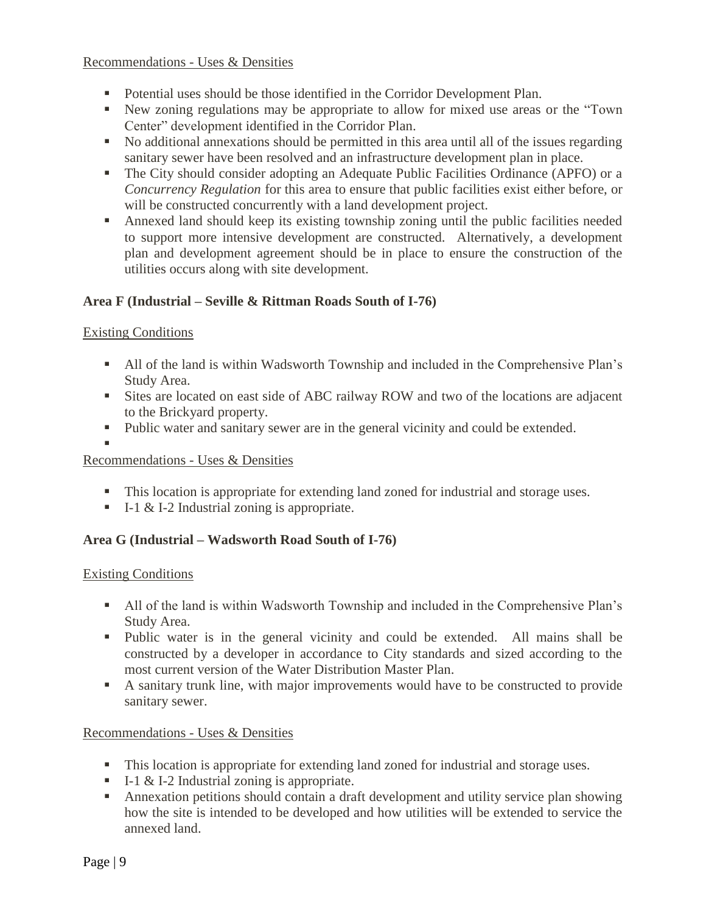- Potential uses should be those identified in the Corridor Development Plan.
- New zoning regulations may be appropriate to allow for mixed use areas or the "Town Center" development identified in the Corridor Plan.
- No additional annexations should be permitted in this area until all of the issues regarding sanitary sewer have been resolved and an infrastructure development plan in place.
- The City should consider adopting an Adequate Public Facilities Ordinance (APFO) or a *Concurrency Regulation* for this area to ensure that public facilities exist either before, or will be constructed concurrently with a land development project.
- Annexed land should keep its existing township zoning until the public facilities needed to support more intensive development are constructed. Alternatively, a development plan and development agreement should be in place to ensure the construction of the utilities occurs along with site development.

# **Area F (Industrial – Seville & Rittman Roads South of I-76)**

### Existing Conditions

- All of the land is within Wadsworth Township and included in the Comprehensive Plan's Study Area.
- Sites are located on east side of ABC railway ROW and two of the locations are adjacent to the Brickyard property.
- Public water and sanitary sewer are in the general vicinity and could be extended.
- ı

Recommendations - Uses & Densities

- This location is appropriate for extending land zoned for industrial and storage uses.
- $I-I & I-2$  Industrial zoning is appropriate.

# **Area G (Industrial – Wadsworth Road South of I-76)**

#### Existing Conditions

- All of the land is within Wadsworth Township and included in the Comprehensive Plan's Study Area.
- Public water is in the general vicinity and could be extended. All mains shall be constructed by a developer in accordance to City standards and sized according to the most current version of the Water Distribution Master Plan.
- A sanitary trunk line, with major improvements would have to be constructed to provide sanitary sewer.

# Recommendations - Uses & Densities

- This location is appropriate for extending land zoned for industrial and storage uses.
- $I-I & I-2$  Industrial zoning is appropriate.
- Annexation petitions should contain a draft development and utility service plan showing how the site is intended to be developed and how utilities will be extended to service the annexed land.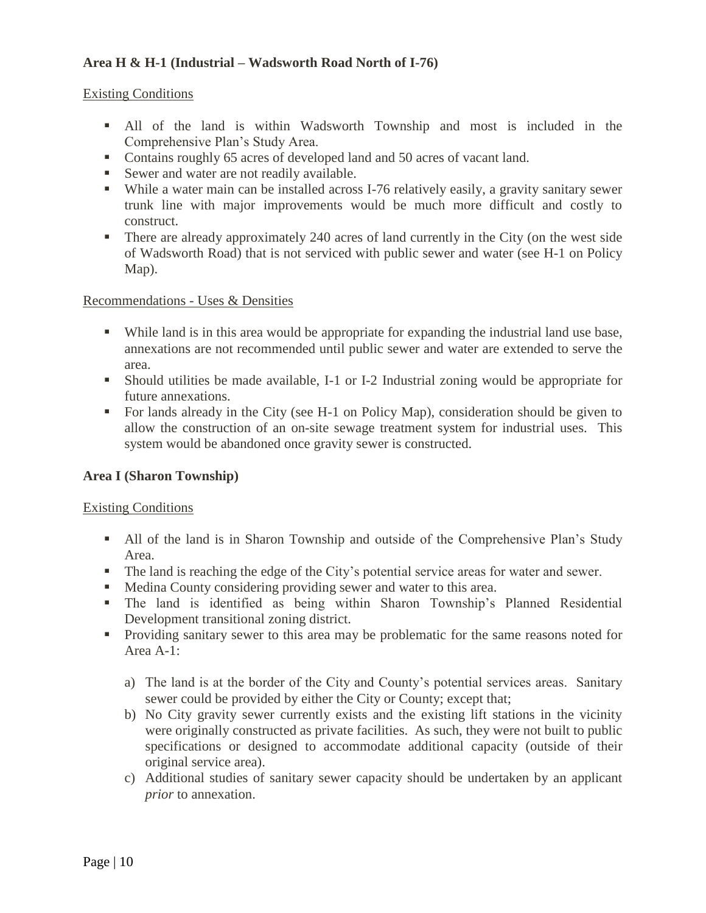# **Area H & H-1 (Industrial – Wadsworth Road North of I-76)**

#### Existing Conditions

- All of the land is within Wadsworth Township and most is included in the Comprehensive Plan's Study Area.
- Contains roughly 65 acres of developed land and 50 acres of vacant land.
- Sewer and water are not readily available.
- While a water main can be installed across I-76 relatively easily, a gravity sanitary sewer trunk line with major improvements would be much more difficult and costly to construct.
- There are already approximately 240 acres of land currently in the City (on the west side of Wadsworth Road) that is not serviced with public sewer and water (see H-1 on Policy Map).

#### Recommendations - Uses & Densities

- While land is in this area would be appropriate for expanding the industrial land use base, annexations are not recommended until public sewer and water are extended to serve the area.
- Should utilities be made available, I-1 or I-2 Industrial zoning would be appropriate for future annexations.
- For lands already in the City (see H-1 on Policy Map), consideration should be given to allow the construction of an on-site sewage treatment system for industrial uses. This system would be abandoned once gravity sewer is constructed.

#### **Area I (Sharon Township)**

#### Existing Conditions

- All of the land is in Sharon Township and outside of the Comprehensive Plan's Study Area.
- The land is reaching the edge of the City's potential service areas for water and sewer.
- Medina County considering providing sewer and water to this area.
- The land is identified as being within Sharon Township's Planned Residential Development transitional zoning district.
- **Providing sanitary sewer to this area may be problematic for the same reasons noted for** Area A-1:
	- a) The land is at the border of the City and County's potential services areas. Sanitary sewer could be provided by either the City or County; except that;
	- b) No City gravity sewer currently exists and the existing lift stations in the vicinity were originally constructed as private facilities. As such, they were not built to public specifications or designed to accommodate additional capacity (outside of their original service area).
	- c) Additional studies of sanitary sewer capacity should be undertaken by an applicant *prior* to annexation.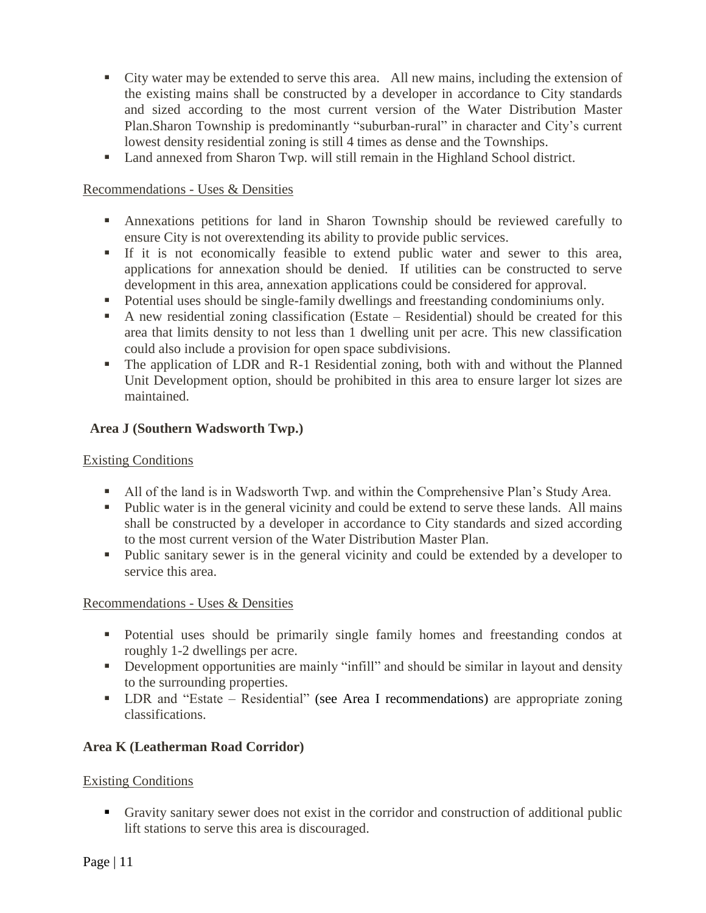- City water may be extended to serve this area. All new mains, including the extension of the existing mains shall be constructed by a developer in accordance to City standards and sized according to the most current version of the Water Distribution Master Plan.Sharon Township is predominantly "suburban-rural" in character and City's current lowest density residential zoning is still 4 times as dense and the Townships.
- Land annexed from Sharon Twp. will still remain in the Highland School district.

- Annexations petitions for land in Sharon Township should be reviewed carefully to ensure City is not overextending its ability to provide public services.
- If it is not economically feasible to extend public water and sewer to this area, applications for annexation should be denied. If utilities can be constructed to serve development in this area, annexation applications could be considered for approval.
- Potential uses should be single-family dwellings and freestanding condominiums only.
- A new residential zoning classification (Estate Residential) should be created for this area that limits density to not less than 1 dwelling unit per acre. This new classification could also include a provision for open space subdivisions.
- The application of LDR and R-1 Residential zoning, both with and without the Planned Unit Development option, should be prohibited in this area to ensure larger lot sizes are maintained.

# **Area J (Southern Wadsworth Twp.)**

### Existing Conditions

- All of the land is in Wadsworth Twp. and within the Comprehensive Plan's Study Area.
- Public water is in the general vicinity and could be extend to serve these lands. All mains shall be constructed by a developer in accordance to City standards and sized according to the most current version of the Water Distribution Master Plan.
- Public sanitary sewer is in the general vicinity and could be extended by a developer to service this area.

#### Recommendations - Uses & Densities

- Potential uses should be primarily single family homes and freestanding condos at roughly 1-2 dwellings per acre.
- Development opportunities are mainly "infill" and should be similar in layout and density to the surrounding properties.
- LDR and "Estate Residential" (see Area I recommendations) are appropriate zoning classifications.

# **Area K (Leatherman Road Corridor)**

#### Existing Conditions

 Gravity sanitary sewer does not exist in the corridor and construction of additional public lift stations to serve this area is discouraged.